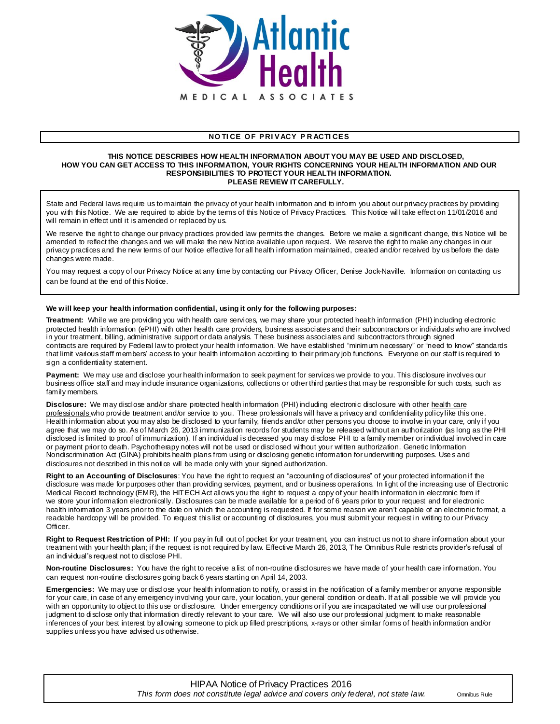

## **NO TI CE OF PRI VACY P R ACTI CES**

#### **THIS NOTICE DESCRIBES HOW HEALTH INFORMATION ABOUT YOU MAY BE USED AND DISCLOSED, HOW YOU CAN GET ACCESS TO THIS INFORMATION, YOUR RIGHTS CONCERNING YOUR HEALTH INFORMATION AND OUR RESPONSIBILITIES TO PROTECT YOUR HEALTH INFORMATION. PLEASE REVIEW IT CAREFULLY.**

State and Federal laws require us to maintain the privacy of your health information and to inform you about our privacy practices by providing you with this Notice. We are required to abide by the terms of this Notice of Privacy Practices. This Notice will take effect on 11/01/2016 and will remain in effect until it is amended or replaced by us.

We reserve the right to change our privacy practices provided law permits the changes. Before we make a significant change, this Notice will be amended to reflect the changes and we will make the new Notice available upon request. We reserve the right to make any changes in our privacy practices and the new terms of our Notice effective for all health information maintained, created and/or received by us before the date changes were made.

You may request a copy of our Privacy Notice at any time by contacting our Privacy Officer, Denise Jock-Naville. Information on contacting us can be found at the end of this Notice.

### **We will keep your health information confidential, using it only for the following purposes:**

**Treatment:** While we are providing you with health care services, we may share your protected health information (PHI) including electronic protected health information (ePHI) with other health care providers, business associates and their subcontractors or individuals who are involved in your treatment, billing, administrative support or data analysis. These business associates and subcontractors through signed contracts are required by Federal law to protect your health information. We have established "minimum necessary" or "need to know" standards that limit various staff members' access to your health information according to their primary job functions. Everyone on our staff is required to sign a confidentiality statement.

**Payment:** We may use and disclose your health information to seek payment for services we provide to you. This disclosure involves our business office staff and may include insurance organizations, collections or other third parties that may be responsible for such costs, such as family members.

Disclosure: We may disclose and/or share protected health information (PHI) induding electronic disclosure with other health care professionals who provide treatment and/or service to you. These professionals will have a privacy and confidentiality policy like this one. Health information about you may also be disclosed to your family, friends and/or other persons you choose to involve in your care, only if you agree that we may do so. As of March 26, 2013 immunization records for students may be released without an authorization (as long as the PHI disclosed is limited to proof of immunization). If an individual is deceased you may disclose PHI to a family member or individual involved in care or payment prior to death. Psychotherapy notes will not be used or disclosed without your written authorization. Genetic Information Nondiscrimination Act (GINA) prohibits health plans from using or disclosing genetic information for underwriting purposes. Use s and disclosures not described in this notice will be made only with your signed authorization.

**Right to an Accounting of Disclosures**: You have the right to request an "accounting of disclosures" of your protected information if the disclosure was made for purposes other than providing services, payment, and or business operations. In light of the increasing use of Electronic Medical Record technology (EMR), the HITECH Act allows you the right to request a copy of your health information in electronic form if we store your information electronically. Disclosures can be made available for a period of 6 years prior to your request and for electronic health information 3 years prior to the date on which the accounting is requested. If for some reason we aren't capable of an electronic format, a readable hardcopy will be provided. To request this list or accounting of disclosures, you must submit your request in writing to our Privacy Officer.

**Right to Request Restriction of PHI:** If you pay in full out of pocket for your treatment, you can instruct us not to share information about your treatment with your health plan; if the request is not required by law. Effective March 26, 2013, The Omnibus Rule restricts provider's refusal of an individual's request not to disclose PHI.

**Non-routine Disclosures:** You have the right to receive a list of non-routine disclosures we have made of your health care information. You can request non-routine disclosures going back 6 years starting on April 14, 2003.

Emergencies: We may use or disclose your health information to notify, or assist in the notification of a family member or anyone responsible for your care, in case of any emergency involving your care, your location, your general condition or death. If at all possible we will provide you with an opportunity to object to this use or disclosure. Under emergency conditions or if you are incapacitated we will use our professional judgment to disclose only that information directly relevant to your care. We will also use our professional judgment to make reasonable inferences of your best interest by allowing someone to pick up filled prescriptions, x-rays or other similar forms of health information and/or supplies unless you have advised us otherwise.

# HIPAA Notice of Privacy Practices 2016 *This form does not constitute legal advice and covers only federal, not state law.* Omnibus Rule